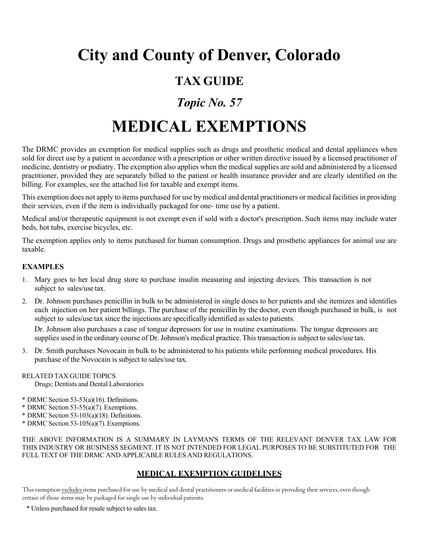## **City and County of Denver, Colorado**

### **TAX GUIDE**

## *Topic No. 57*

# **MEDICAL EXEMPTIONS**

The DRMC provides an exemption for medical supplies such as drugs and prosthetic medical and dental appliances when sold for direct use by a patient in accordance with a prescription or other written directive issued by a licensed practitioner of medicine, dentistry or podiatry. The exemption also applies when the medical supplies are sold and administered by a licensed practitioner, provided they are separately billed to the patient or health insurance provider and are clearly identified on the billing. For examples, see the attached list for taxable and exempt items.

This exemption does not apply to items purchased for use by medical and dental practitioners or medical facilities in providing their services, even if the item is individually packaged for one- time use by a patient.

Medical and/or therapeutic equipment is not exempt even if sold with a doctor's prescription. Such items may include water beds, hot tubs, exercise bicycles, etc.

The exemption applies only to items purchased for human consumption. Drugs and prosthetic appliances for animal use are taxable.

#### **EXAMPLES**

- 1. Mary goes to her local drug store to purchase insulin measuring and injecting devices. This transaction is not subject to sales/use tax.
- 2. Dr. Johnson purchases penicillin in bulk to be administered in single doses to her patients and she itemizes and identifies each injection on her patient billings. The purchase of the penicillin by the doctor, even though purchased in bulk, is not subject to sales/use tax since the injections are specifically identified as sales to patients.

Dr. Johnson also purchases a case of tongue depressors for use in routine examinations. The tongue depressors are supplies used in the ordinary course of Dr. Johnson's medical practice. This transaction is subject to sales/use tax.

3. Dr. Smith purchases Novocain in bulk to be administered to his patients while performing medical procedures. His purchase of the Novocain is subject to sales/use tax.

#### RELATED TAX GUIDE TOPICS

Drugs; Dentists and Dental Laboratories

- \* DRMC Section 53-53(a)(16). Definitions.
- \* DRMC Section 53-55(a)(7). Exemptions.
- \* DRMC Section 53-103(a)(18). Definitions.
- \* DRMC Section 53-105(a)(7). Exemptions.

THE ABOVE INFORMATION IS A SUMMARY IN LAYMAN'S TERMS OF THE RELEVANT DENVER TAX LAW FOR THIS INDUSTRY OR BUSINESS SEGMENT. IT IS NOT INTENDED FOR LEGAL PURPOSES TO BE SUBSTITUTED FOR THE FULL TEXT OF THE DRMC AND APPLICABLE RULES AND REGULATIONS.

#### **MEDICAL EXEMPTION GUIDELINES**

This exemption excludes items purchased for use by medical and dental practitioners or medical facilities in providing their services, even though certain of those items may be packaged for single use by individual patients.

\* Unless purchased for resale subject to sales tax.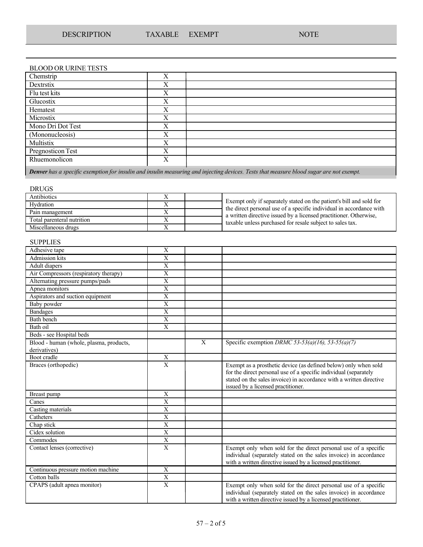### BLOOD OR URINE TESTS

| Chemstrip         | X |  |
|-------------------|---|--|
| Dextrstix         | X |  |
| Flu test kits     | X |  |
| Glucostix         | X |  |
| Hematest          | X |  |
| Microstix         | X |  |
| Mono Dri Dot Test | X |  |
| (Mononucleosis)   | X |  |
| Multistix         | X |  |
| Pregnosticon Test | X |  |
| Rhuemonolicon     | X |  |
|                   |   |  |

Denver has a specific exemption for insulin and insulin measuring and injecting devices. Tests that measure blood sugar are not exempt.

| <b>DRUGS</b>               |   |                                                                                                                                            |
|----------------------------|---|--------------------------------------------------------------------------------------------------------------------------------------------|
| Antibiotics                |   |                                                                                                                                            |
| Hydration                  |   | Exempt only if separately stated on the patient's bill and sold for<br>the direct personal use of a specific individual in accordance with |
| Pain management            | л | a written directive issued by a licensed practitioner. Otherwise,                                                                          |
| Total parenteral nutrition | л | taxable unless purchased for resale subject to sales tax.                                                                                  |
| Miscellaneous drugs        |   |                                                                                                                                            |

#### **SUPPLIES**

| Adhesive tape                                           | X                         |              |                                                                                                                                                                                                     |
|---------------------------------------------------------|---------------------------|--------------|-----------------------------------------------------------------------------------------------------------------------------------------------------------------------------------------------------|
| Admission kits                                          | X                         |              |                                                                                                                                                                                                     |
| Adult diapers                                           | X                         |              |                                                                                                                                                                                                     |
| Air Compressors (respiratory therapy)                   | X                         |              |                                                                                                                                                                                                     |
| Alternating pressure pumps/pads                         | $\overline{\mathrm{X}}$   |              |                                                                                                                                                                                                     |
| Apnea monitors                                          | $\mathbf X$               |              |                                                                                                                                                                                                     |
| Aspirators and suction equipment                        | X                         |              |                                                                                                                                                                                                     |
| <b>Baby</b> powder                                      | X                         |              |                                                                                                                                                                                                     |
| <b>Bandages</b>                                         | X                         |              |                                                                                                                                                                                                     |
| Bath bench                                              | $\mathbf X$               |              |                                                                                                                                                                                                     |
| Bath oil                                                | $\mathbf{X}$              |              |                                                                                                                                                                                                     |
| Beds - see Hospital beds                                |                           |              |                                                                                                                                                                                                     |
| Blood - human (whole, plasma, products,<br>derivatives) |                           | $\mathbf{X}$ | Specific exemption DRMC 53-53(a)(16), 53-55(a)(7)                                                                                                                                                   |
| Boot cradle                                             | X                         |              |                                                                                                                                                                                                     |
| Braces (orthopedic)                                     | $\overline{X}$            |              | Exempt as a prosthetic device (as defined below) only when sold                                                                                                                                     |
|                                                         |                           |              | for the direct personal use of a specific individual (separately<br>stated on the sales invoice) in accordance with a written directive<br>issued by a licensed practitioner.                       |
| Breast pump                                             | $\mathbf X$               |              |                                                                                                                                                                                                     |
| Canes                                                   | X                         |              |                                                                                                                                                                                                     |
| Casting materials                                       | $\overline{X}$            |              |                                                                                                                                                                                                     |
| Catheters                                               | X                         |              |                                                                                                                                                                                                     |
| Chap stick                                              | $\mathbf{X}$              |              |                                                                                                                                                                                                     |
| Cidex solution                                          | $\boldsymbol{\mathrm{X}}$ |              |                                                                                                                                                                                                     |
| Commodes                                                | $\overline{\mathrm{X}}$   |              |                                                                                                                                                                                                     |
| Contact lenses (corrective)                             | $\overline{\mathrm{X}}$   |              | Exempt only when sold for the direct personal use of a specific<br>individual (separately stated on the sales invoice) in accordance<br>with a written directive issued by a licensed practitioner. |
| Continuous pressure motion machine                      | X                         |              |                                                                                                                                                                                                     |
| Cotton balls                                            | $\mathbf X$               |              |                                                                                                                                                                                                     |
| CPAPS (adult apnea monitor)                             | $\mathbf{X}$              |              | Exempt only when sold for the direct personal use of a specific<br>individual (separately stated on the sales invoice) in accordance<br>with a written directive issued by a licensed practitioner. |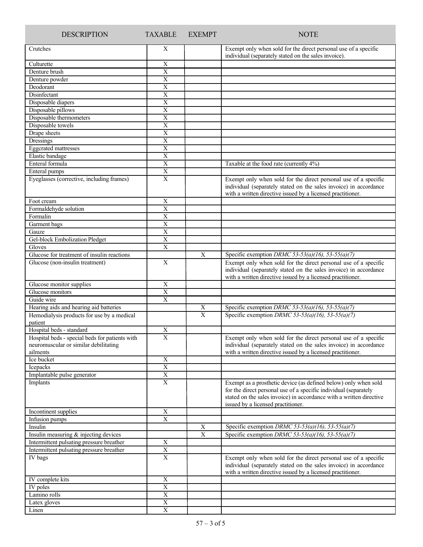| <b>DESCRIPTION</b>                                                         | <b>TAXABLE</b>                         | <b>EXEMPT</b>  | <b>NOTE</b>                                                                                                                                                                                                                                      |
|----------------------------------------------------------------------------|----------------------------------------|----------------|--------------------------------------------------------------------------------------------------------------------------------------------------------------------------------------------------------------------------------------------------|
| Crutches                                                                   | X                                      |                | Exempt only when sold for the direct personal use of a specific<br>individual (separately stated on the sales invoice).                                                                                                                          |
| Culturette                                                                 | X                                      |                |                                                                                                                                                                                                                                                  |
| Denture brush                                                              | $\overline{X}$                         |                |                                                                                                                                                                                                                                                  |
| Denture powder                                                             | X                                      |                |                                                                                                                                                                                                                                                  |
| Deodorant                                                                  | $\overline{X}$                         |                |                                                                                                                                                                                                                                                  |
| Disinfectant                                                               | $\overline{X}$                         |                |                                                                                                                                                                                                                                                  |
| Disposable diapers                                                         | $\mathbf X$                            |                |                                                                                                                                                                                                                                                  |
| Disposable pillows                                                         | $\overline{X}$                         |                |                                                                                                                                                                                                                                                  |
| Disposable thermometers<br>Disposable towels                               | $\mathbf X$<br>$\overline{X}$          |                |                                                                                                                                                                                                                                                  |
| Drape sheets                                                               | X                                      |                |                                                                                                                                                                                                                                                  |
| Dressings                                                                  | $\overline{X}$                         |                |                                                                                                                                                                                                                                                  |
| <b>Eggcrated</b> mattresses                                                | $\mathbf X$                            |                |                                                                                                                                                                                                                                                  |
| Elastic bandage                                                            | $\mathbf X$                            |                |                                                                                                                                                                                                                                                  |
| Enteral formula                                                            | $\overline{X}$                         |                | Taxable at the food rate (currently 4%)                                                                                                                                                                                                          |
| Enteral pumps                                                              | $\overline{X}$                         |                |                                                                                                                                                                                                                                                  |
| Eyeglasses (corrective, including frames)                                  | X                                      |                | Exempt only when sold for the direct personal use of a specific<br>individual (separately stated on the sales invoice) in accordance<br>with a written directive issued by a licensed practitioner.                                              |
| Foot cream                                                                 | $\mathbf X$                            |                |                                                                                                                                                                                                                                                  |
| Formaldehyde solution                                                      | $\overline{X}$                         |                |                                                                                                                                                                                                                                                  |
| Formalin                                                                   | $\mathbf X$                            |                |                                                                                                                                                                                                                                                  |
| Garment bags                                                               | $\mathbf X$                            |                |                                                                                                                                                                                                                                                  |
| Gauze                                                                      | X                                      |                |                                                                                                                                                                                                                                                  |
| Gel-block Embolization Pledget                                             | $\overline{X}$                         |                |                                                                                                                                                                                                                                                  |
| Gloves                                                                     | $\mathbf X$                            |                |                                                                                                                                                                                                                                                  |
| Glucose for treatment of insulin reactions                                 |                                        | $\overline{X}$ | Specific exemption DRMC 53-53(a)(16), 53-55(a)(7)                                                                                                                                                                                                |
| Glucose (non-insulin treatment)                                            | $\mathbf X$                            |                | Exempt only when sold for the direct personal use of a specific<br>individual (separately stated on the sales invoice) in accordance<br>with a written directive issued by a licensed practitioner.                                              |
| Glucose monitor supplies                                                   | $\mathbf X$                            |                |                                                                                                                                                                                                                                                  |
| Glucose monitors                                                           | $\overline{X}$                         |                |                                                                                                                                                                                                                                                  |
| Guide wire                                                                 | $\boldsymbol{\mathrm{X}}$              |                |                                                                                                                                                                                                                                                  |
| Hearing aids and hearing aid batteries                                     |                                        | X              | Specific exemption DRMC 53-53(a)(16), 53-55(a)(7)                                                                                                                                                                                                |
| Hemodialysis products for use by a medical                                 |                                        | $\overline{X}$ | Specific exemption DRMC 53-53(a)(16), 53-55(a)(7)                                                                                                                                                                                                |
| patient                                                                    |                                        |                |                                                                                                                                                                                                                                                  |
| Hospital beds - standard<br>Hospital beds - special beds for patients with | $\mathbf X$<br>$\overline{\mathrm{X}}$ |                |                                                                                                                                                                                                                                                  |
| neuromuscular or similar debilitating<br>ailments                          |                                        |                | Exempt only when sold for the direct personal use of a specific<br>individual (separately stated on the sales invoice) in accordance<br>with a written directive issued by a licensed practitioner.                                              |
| Ice bucket                                                                 | $\mathbf X$                            |                |                                                                                                                                                                                                                                                  |
| Icepacks                                                                   | $\overline{X}$                         |                |                                                                                                                                                                                                                                                  |
| Implantable pulse generator                                                | $\overline{X}$                         |                |                                                                                                                                                                                                                                                  |
| Implants                                                                   | $\overline{X}$                         |                | Exempt as a prosthetic device (as defined below) only when sold<br>for the direct personal use of a specific individual (separately<br>stated on the sales invoice) in accordance with a written directive<br>issued by a licensed practitioner. |
| Incontinent supplies                                                       | $\mathbf X$                            |                |                                                                                                                                                                                                                                                  |
| Infusion pumps                                                             | X                                      |                |                                                                                                                                                                                                                                                  |
| Insulin                                                                    |                                        | $\mathbf X$    | Specific exemption DRMC 53-53(a)(16), 53-55(a)(7)                                                                                                                                                                                                |
| Insulin measuring & injecting devices                                      |                                        | $\overline{X}$ | Specific exemption DRMC 53-53(a)(16), 53-55(a)(7)                                                                                                                                                                                                |
| Intermittent pulsating pressure breather                                   | X                                      |                |                                                                                                                                                                                                                                                  |
| Intermittent pulsating pressure breather                                   | $\overline{X}$                         |                |                                                                                                                                                                                                                                                  |
| IV bags                                                                    | $\mathbf X$                            |                | Exempt only when sold for the direct personal use of a specific<br>individual (separately stated on the sales invoice) in accordance<br>with a written directive issued by a licensed practitioner.                                              |
| IV complete kits                                                           | $\mathbf X$                            |                |                                                                                                                                                                                                                                                  |
| IV poles                                                                   | $\overline{X}$                         |                |                                                                                                                                                                                                                                                  |
| Lamino rolls                                                               | $\mathbf X$                            |                |                                                                                                                                                                                                                                                  |
| Latex gloves                                                               | $\overline{\textbf{X}}$                |                |                                                                                                                                                                                                                                                  |
| Linen                                                                      | $\mathbf X$                            |                |                                                                                                                                                                                                                                                  |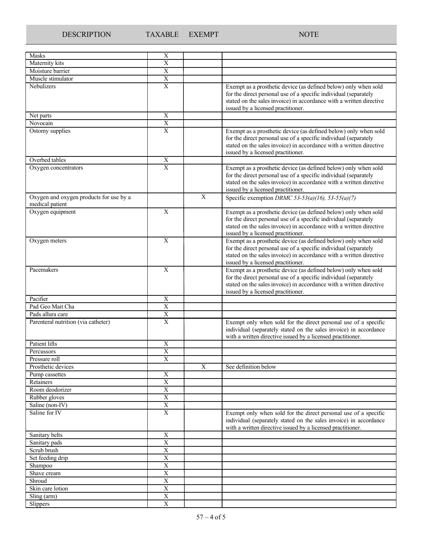| Masks                                                      | Χ                       |                |                                                                                                                                                                                                                                                  |
|------------------------------------------------------------|-------------------------|----------------|--------------------------------------------------------------------------------------------------------------------------------------------------------------------------------------------------------------------------------------------------|
| Maternity kits                                             | $\mathbf X$             |                |                                                                                                                                                                                                                                                  |
| Moisture barrier                                           | $\overline{X}$          |                |                                                                                                                                                                                                                                                  |
| Muscle stimulator                                          | $\overline{X}$          |                |                                                                                                                                                                                                                                                  |
| Nebulizers                                                 | $\mathbf X$             |                | Exempt as a prosthetic device (as defined below) only when sold                                                                                                                                                                                  |
|                                                            |                         |                | for the direct personal use of a specific individual (separately<br>stated on the sales invoice) in accordance with a written directive<br>issued by a licensed practitioner.                                                                    |
| Net parts                                                  | X                       |                |                                                                                                                                                                                                                                                  |
| Novocain                                                   | $\mathbf X$             |                |                                                                                                                                                                                                                                                  |
| Ostomy supplies                                            | $\overline{X}$          |                | Exempt as a prosthetic device (as defined below) only when sold<br>for the direct personal use of a specific individual (separately<br>stated on the sales invoice) in accordance with a written directive<br>issued by a licensed practitioner. |
| Overbed tables                                             | $\mathbf X$             |                |                                                                                                                                                                                                                                                  |
| Oxygen concentrators                                       | X                       |                | Exempt as a prosthetic device (as defined below) only when sold<br>for the direct personal use of a specific individual (separately<br>stated on the sales invoice) in accordance with a written directive<br>issued by a licensed practitioner. |
| Oxygen and oxygen products for use by a<br>medical patient |                         | $\mathbf{X}$   | Specific exemption DRMC 53-53(a)(16), 53-55(a)(7)                                                                                                                                                                                                |
| Oxygen equipment                                           | X                       |                | Exempt as a prosthetic device (as defined below) only when sold<br>for the direct personal use of a specific individual (separately<br>stated on the sales invoice) in accordance with a written directive<br>issued by a licensed practitioner. |
| Oxygen meters                                              | $\mathbf X$             |                | Exempt as a prosthetic device (as defined below) only when sold<br>for the direct personal use of a specific individual (separately<br>stated on the sales invoice) in accordance with a written directive<br>issued by a licensed practitioner. |
| Pacemakers                                                 | $\mathbf X$             |                | Exempt as a prosthetic device (as defined below) only when sold<br>for the direct personal use of a specific individual (separately<br>stated on the sales invoice) in accordance with a written directive<br>issued by a licensed practitioner. |
| Pacifier                                                   | X                       |                |                                                                                                                                                                                                                                                  |
| Pad Geo Mait Cha                                           | X                       |                |                                                                                                                                                                                                                                                  |
| Pads allura care                                           | $\mathbf X$             |                |                                                                                                                                                                                                                                                  |
| Parenteral nutrition (via catheter)                        | $\mathbf X$             |                | Exempt only when sold for the direct personal use of a specific                                                                                                                                                                                  |
|                                                            |                         |                | individual (separately stated on the sales invoice) in accordance<br>with a written directive issued by a licensed practitioner.                                                                                                                 |
| Patient lifts                                              | $\mathbf X$             |                |                                                                                                                                                                                                                                                  |
| Percussors                                                 | $\overline{X}$          |                |                                                                                                                                                                                                                                                  |
| Pressure roll                                              | $\overline{\text{X}}$   |                |                                                                                                                                                                                                                                                  |
| Prosthetic devices                                         |                         | $\overline{X}$ | See definition below                                                                                                                                                                                                                             |
| Pump cassettes                                             | X                       |                |                                                                                                                                                                                                                                                  |
| Retainers                                                  | $\overline{X}$          |                |                                                                                                                                                                                                                                                  |
| Room deodorizer                                            | $\overline{\textbf{X}}$ |                |                                                                                                                                                                                                                                                  |
| Rubber gloves                                              | $\overline{\text{X}}$   |                |                                                                                                                                                                                                                                                  |
| Saline (non-IV)                                            | $\overline{\textbf{X}}$ |                |                                                                                                                                                                                                                                                  |
| Saline for IV                                              | $\mathbf X$             |                | Exempt only when sold for the direct personal use of a specific<br>individual (separately stated on the sales invoice) in accordance<br>with a written directive issued by a licensed practitioner.                                              |
| Sanitary belts                                             | $\mathbf X$             |                |                                                                                                                                                                                                                                                  |
| Sanitary pads                                              | $\overline{X}$          |                |                                                                                                                                                                                                                                                  |
| Scrub brush                                                | $\overline{X}$          |                |                                                                                                                                                                                                                                                  |
| Set feeding drip                                           | $\overline{X}$          |                |                                                                                                                                                                                                                                                  |
| Shampoo                                                    | $\overline{X}$          |                |                                                                                                                                                                                                                                                  |
| Shave cream                                                | $\overline{X}$          |                |                                                                                                                                                                                                                                                  |
| Shroud                                                     | $\overline{\textbf{X}}$ |                |                                                                                                                                                                                                                                                  |
| Skin care lotion                                           | $\overline{\text{X}}$   |                |                                                                                                                                                                                                                                                  |
| Sling (arm)                                                | $\overline{\text{X}}$   |                |                                                                                                                                                                                                                                                  |
| Slippers                                                   | $\overline{\textbf{X}}$ |                |                                                                                                                                                                                                                                                  |
|                                                            |                         |                |                                                                                                                                                                                                                                                  |